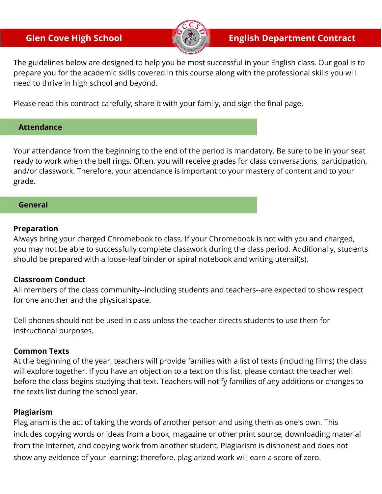

The guidelines below are designed to help you be most successful in your English class. Our goal is to prepare you for the academic skills covered in this course along with the professional skills you will need to thrive in high school and beyond.

Please read this contract carefully, share it with your family, and sign the final page.

# **Attendance**

Your attendance from the beginning to the end of the period is mandatory. Be sure to be in your seat ready to work when the bell rings. Often, you will receive grades for class conversations, participation, and/or classwork. Therefore, your attendance is important to your mastery of content and to your grade.

## **General**

#### **Preparation**

Always bring your charged Chromebook to class. If your Chromebook is not with you and charged, you may not be able to successfully complete classwork during the class period. Additionally, students should be prepared with a loose-leaf binder or spiral notebook and writing utensil(s).

## **Classroom Conduct**

All members of the class community--including students and teachers--are expected to show respect for one another and the physical space.

Cell phones should not be used in class unless the teacher directs students to use them for instructional purposes.

## **Common Texts**

At the beginning of the year, teachers will provide families with a list of texts (including films) the class will explore together. If you have an objection to a text on this list, please contact the teacher well before the class begins studying that text. Teachers will notify families of any additions or changes to the texts list during the school year.

## **Plagiarism**

Plagiarism is the act of taking the words of another person and using them as one's own. This includes copying words or ideas from a book, magazine or other print source, downloading material from the Internet, and copying work from another student. Plagiarism is dishonest and does not show any evidence of your learning; therefore, plagiarized work will earn a score of zero.